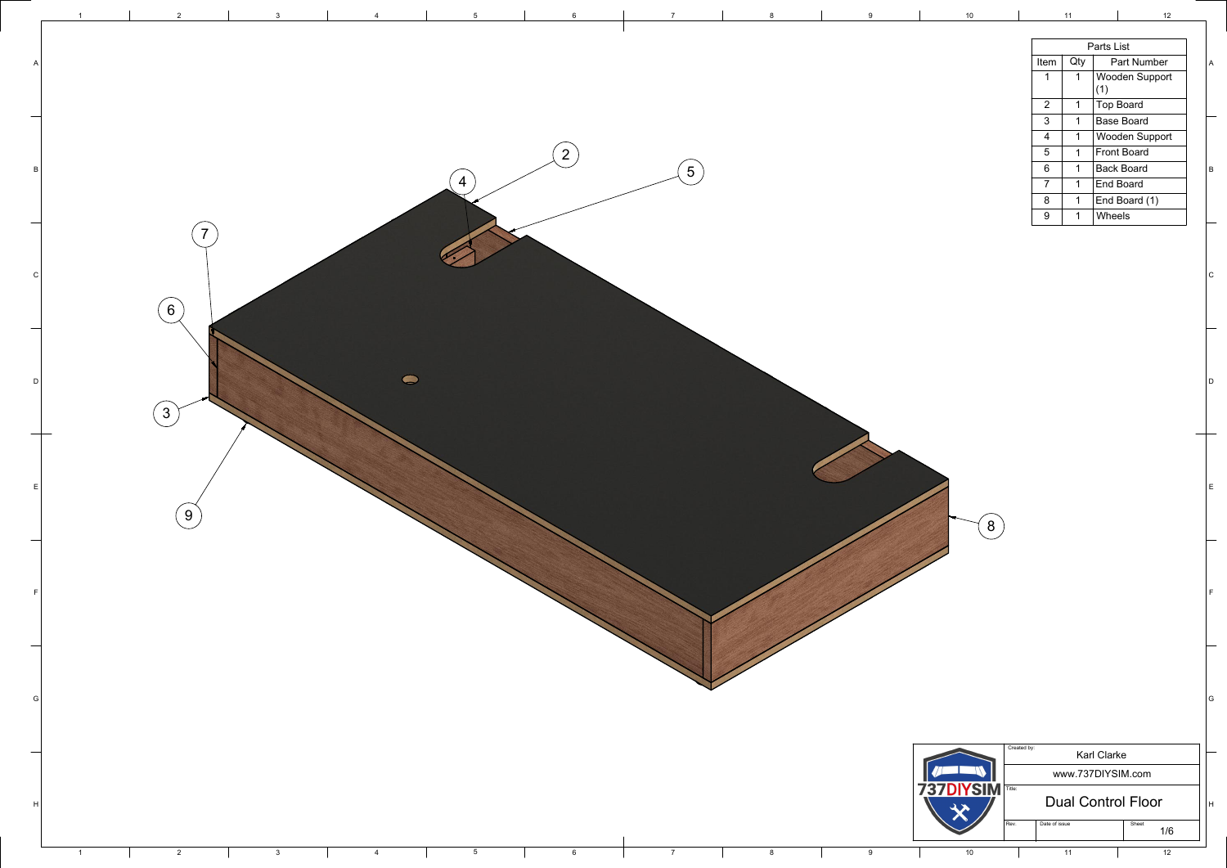| $\overline{7}$ | $\bf 8$        | $9\,$            | $10$                |                                   | 11                          | 12                            |                           |
|----------------|----------------|------------------|---------------------|-----------------------------------|-----------------------------|-------------------------------|---------------------------|
|                |                |                  |                     |                                   |                             | Parts List                    |                           |
|                |                |                  |                     | Item                              | Qty                         | Part Number                   | $\boldsymbol{\mathsf{A}}$ |
|                |                |                  |                     | $\mathbf 1$                       | $\mathbf 1$                 | Wooden Support                |                           |
|                |                |                  |                     |                                   |                             | (1)                           |                           |
|                |                |                  |                     | $\overline{2}$                    | $\mathbf{1}$                | <b>Top Board</b>              |                           |
|                |                |                  |                     | $\mathfrak{S}$                    | $\mathbf{1}$                | <b>Base Board</b>             |                           |
|                |                |                  |                     | $\overline{4}$<br>$5\overline{)}$ | $\mathbf{1}$<br>$\mathbf 1$ | Wooden Support<br>Front Board |                           |
|                |                |                  |                     | $\boldsymbol{6}$                  | $\mathbf 1$                 | <b>Back Board</b>             |                           |
| 5              |                |                  |                     | $\overline{7}$                    | $\mathbf 1$                 | <b>End Board</b>              | $\,$ B                    |
|                |                |                  |                     | $8\phantom{1}$                    | $\mathbf 1$                 | End Board (1)                 |                           |
|                |                |                  |                     | 9                                 | $\mathbf{1}$                | Wheels                        |                           |
|                |                |                  |                     |                                   |                             |                               |                           |
|                |                |                  |                     |                                   |                             |                               | c                         |
|                |                |                  |                     |                                   |                             |                               | D                         |
|                |                |                  | 8                   |                                   |                             |                               | $\mathsf E$               |
|                |                |                  |                     |                                   |                             |                               | $\mathsf F$               |
|                |                |                  |                     | Created by:                       |                             |                               | G                         |
|                |                |                  |                     |                                   |                             | <b>Karl Clarke</b>            |                           |
|                |                |                  |                     |                                   |                             | www.737DIYSIM.com             |                           |
|                |                |                  | 737<br><b>DIYSI</b> | Title:                            |                             | <b>Dual Control Floor</b>     | H                         |
|                |                |                  |                     | Date of issue<br>Rev.             |                             | Sheet<br>1/6                  |                           |
|                |                |                  |                     |                                   |                             |                               |                           |
| 7 <sup>1</sup> | $8\phantom{1}$ | $\boldsymbol{9}$ | 10                  |                                   | 11                          | 12                            |                           |

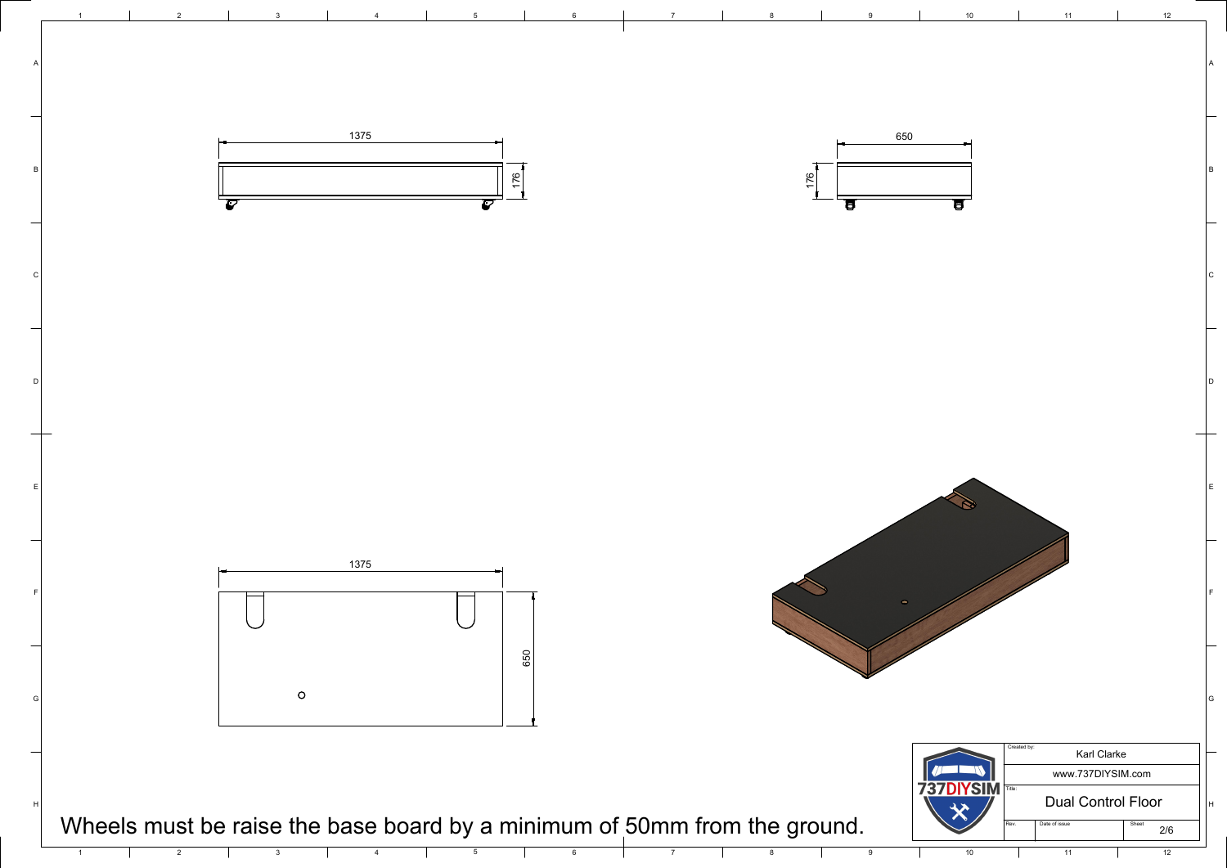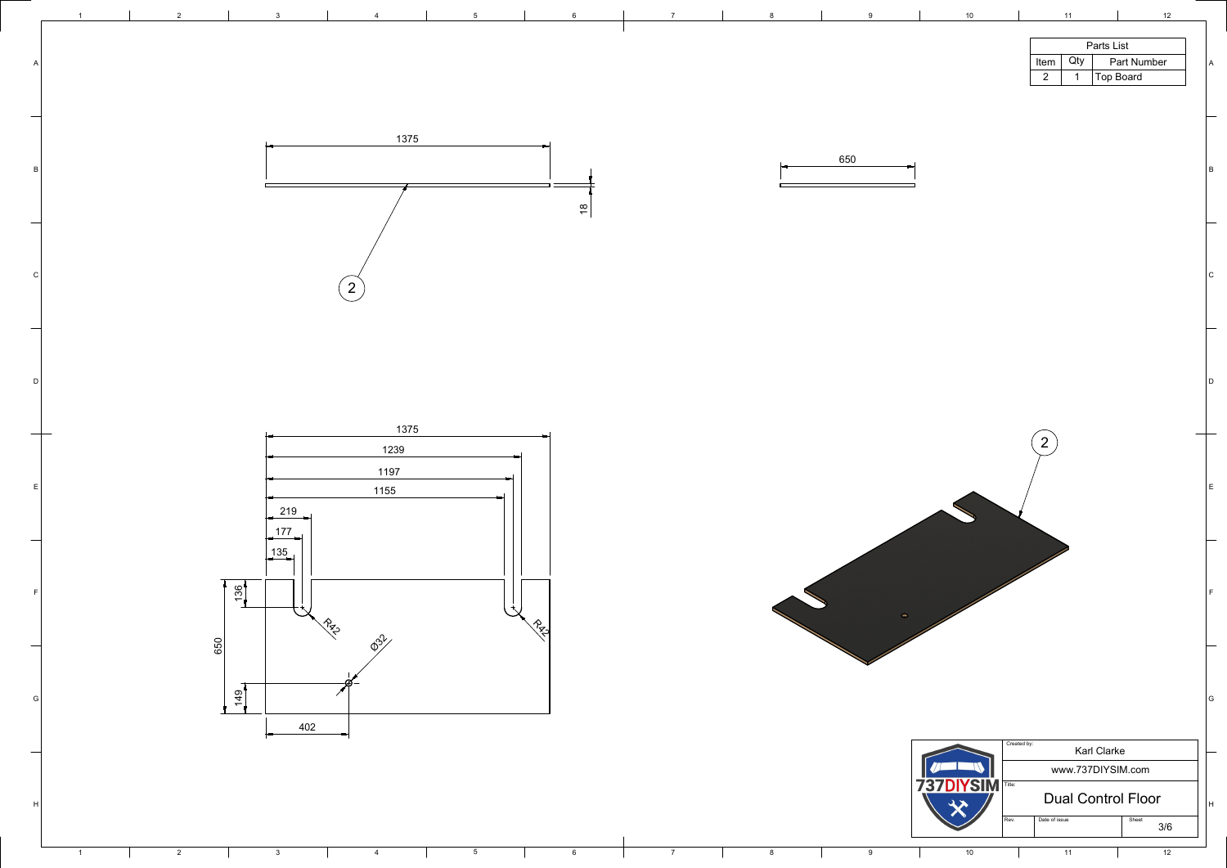| 1375<br>650<br>l B<br>$\frac{8}{10}$<br>١c<br>$\overline{2}$<br>$\overline{\phantom{0}}$<br> D<br>1375<br>$\overline{2}$<br>1239<br>1197<br>1155<br>219<br>177<br>135<br>$\frac{136}{1}$<br>$\bullet$<br>$\frac{1}{2}$<br>$\gamma_{\rm m}$<br>$\phi^{31}$<br>650 | <b>Parts List</b><br>Qty<br><b>Part Number</b><br>Item<br>$\boxed{\mathsf{Top}\, \mathsf{Board}}$<br>$\overline{2}$ | A |
|------------------------------------------------------------------------------------------------------------------------------------------------------------------------------------------------------------------------------------------------------------------|---------------------------------------------------------------------------------------------------------------------|---|
|                                                                                                                                                                                                                                                                  |                                                                                                                     |   |
|                                                                                                                                                                                                                                                                  |                                                                                                                     |   |
|                                                                                                                                                                                                                                                                  |                                                                                                                     |   |
|                                                                                                                                                                                                                                                                  |                                                                                                                     |   |

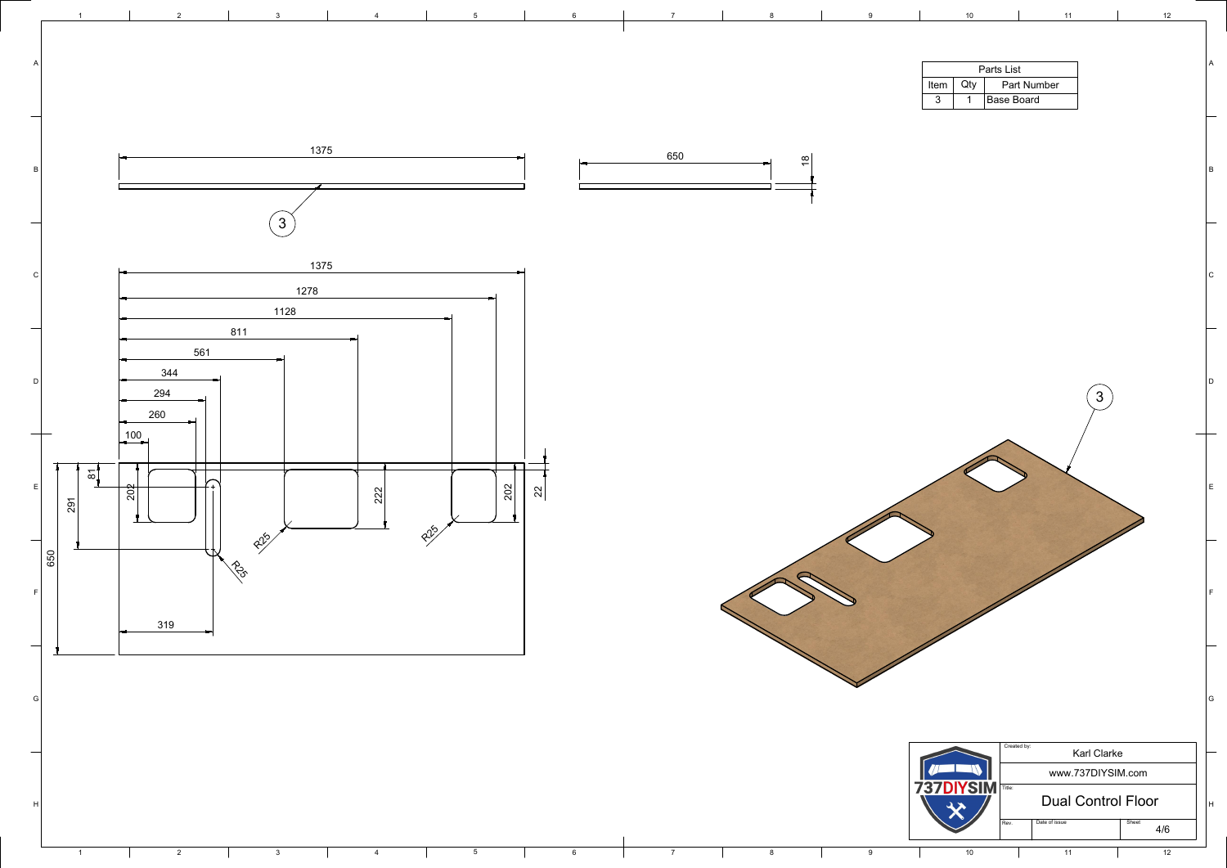

 $\mathsf{C}$ 



D

E

F

|  |  |      |  |  |  |     |          |                          |                | 1 <sub>0</sub>             |                    |  | 12 |   |
|--|--|------|--|--|--|-----|----------|--------------------------|----------------|----------------------------|--------------------|--|----|---|
|  |  |      |  |  |  |     |          |                          |                |                            |                    |  |    |   |
|  |  |      |  |  |  |     |          |                          | $ $ Item $ $   | <b>Parts List</b><br>$Qty$ | <b>Part Number</b> |  |    |   |
|  |  |      |  |  |  |     |          |                          | 3 <sup>1</sup> |                            | Base Board         |  |    |   |
|  |  |      |  |  |  |     |          |                          |                |                            |                    |  |    |   |
|  |  | 1375 |  |  |  | 650 | $\infty$ | $\overline{\phantom{0}}$ |                |                            |                    |  |    |   |
|  |  |      |  |  |  |     |          |                          |                |                            |                    |  |    | B |

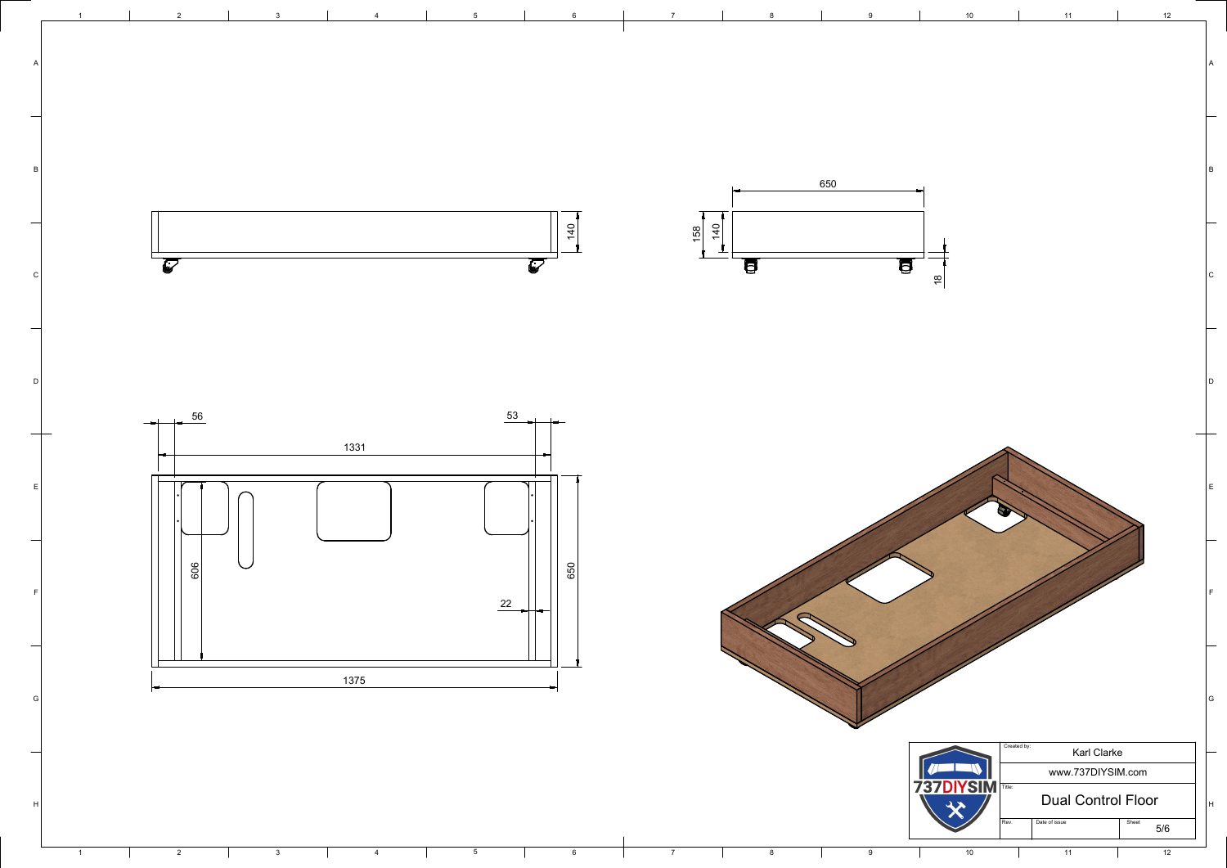

H  $\vert$